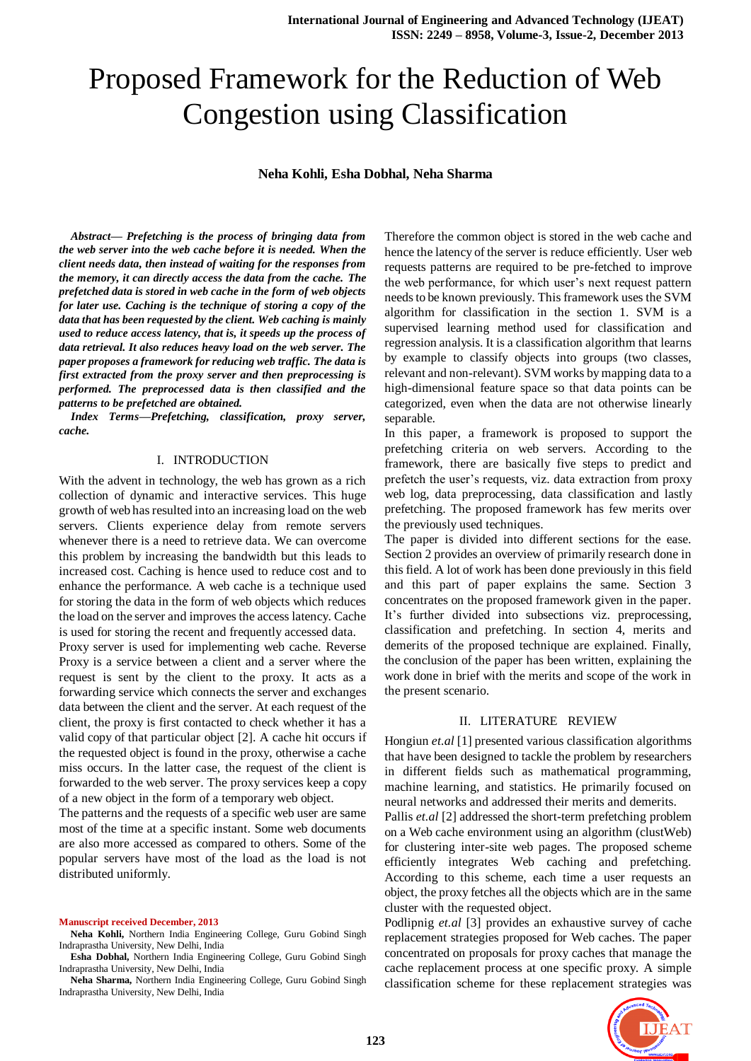# Proposed Framework for the Reduction of Web Congestion using Classification

### **Neha Kohli, Esha Dobhal, Neha Sharma**

*Abstract— Prefetching is the process of bringing data from the web server into the web cache before it is needed. When the client needs data, then instead of waiting for the responses from the memory, it can directly access the data from the cache. The prefetched data is stored in web cache in the form of web objects for later use. Caching is the technique of storing a copy of the data that has been requested by the client. Web caching is mainly used to reduce access latency, that is, it speeds up the process of data retrieval. It also reduces heavy load on the web server. The paper proposes a framework for reducing web traffic. The data is first extracted from the proxy server and then preprocessing is performed. The preprocessed data is then classified and the patterns to be prefetched are obtained.* 

*Index Terms—Prefetching, classification, proxy server, cache.*

### I. INTRODUCTION

With the advent in technology, the web has grown as a rich collection of dynamic and interactive services. This huge growth of web has resulted into an increasing load on the web servers. Clients experience delay from remote servers whenever there is a need to retrieve data. We can overcome this problem by increasing the bandwidth but this leads to increased cost. Caching is hence used to reduce cost and to enhance the performance. A web cache is a technique used for storing the data in the form of web objects which reduces the load on the server and improves the access latency. Cache is used for storing the recent and frequently accessed data.

Proxy server is used for implementing web cache. Reverse Proxy is a service between a client and a server where the request is sent by the client to the proxy. It acts as a forwarding service which connects the server and exchanges data between the client and the server. At each request of the client, the proxy is first contacted to check whether it has a valid copy of that particular object [2]. A cache hit occurs if the requested object is found in the proxy, otherwise a cache miss occurs. In the latter case, the request of the client is forwarded to the web server. The proxy services keep a copy of a new object in the form of a temporary web object.

The patterns and the requests of a specific web user are same most of the time at a specific instant. Some web documents are also more accessed as compared to others. Some of the popular servers have most of the load as the load is not distributed uniformly.

#### **Manuscript received December, 2013**

**Neha Kohli,** Northern India Engineering College, Guru Gobind Singh Indraprastha University, New Delhi, India

**Esha Dobhal,** Northern India Engineering College, Guru Gobind Singh Indraprastha University, New Delhi, India

**Neha Sharma,** Northern India Engineering College, Guru Gobind Singh Indraprastha University, New Delhi, India

Therefore the common object is stored in the web cache and hence the latency of the server is reduce efficiently. User web requests patterns are required to be pre-fetched to improve the web performance, for which user's next request pattern needs to be known previously. This framework uses the SVM algorithm for classification in the section 1. SVM is a supervised learning method used for classification and regression analysis. It is a classification algorithm that learns by example to classify objects into groups (two classes, relevant and non-relevant). SVM works by mapping data to a high-dimensional feature space so that data points can be categorized, even when the data are not otherwise linearly separable.

In this paper, a framework is proposed to support the prefetching criteria on web servers. According to the framework, there are basically five steps to predict and prefetch the user's requests, viz. data extraction from proxy web log, data preprocessing, data classification and lastly prefetching. The proposed framework has few merits over the previously used techniques.

The paper is divided into different sections for the ease. Section 2 provides an overview of primarily research done in this field. A lot of work has been done previously in this field and this part of paper explains the same. Section 3 concentrates on the proposed framework given in the paper. It's further divided into subsections viz. preprocessing, classification and prefetching. In section 4, merits and demerits of the proposed technique are explained. Finally, the conclusion of the paper has been written, explaining the work done in brief with the merits and scope of the work in the present scenario.

### II. LITERATURE REVIEW

Hongiun *et.al* [1] presented various classification algorithms that have been designed to tackle the problem by researchers in different fields such as mathematical programming, machine learning, and statistics. He primarily focused on neural networks and addressed their merits and demerits.

Pallis *et.al* [2] addressed the short-term prefetching problem on a Web cache environment using an algorithm (clustWeb) for clustering inter-site web pages. The proposed scheme efficiently integrates Web caching and prefetching. According to this scheme, each time a user requests an object, the proxy fetches all the objects which are in the same cluster with the requested object.

Podlipnig *et.al* [3] provides an exhaustive survey of cache replacement strategies proposed for Web caches. The paper concentrated on proposals for proxy caches that manage the cache replacement process at one specific proxy. A simple classification scheme for these replacement strategies was

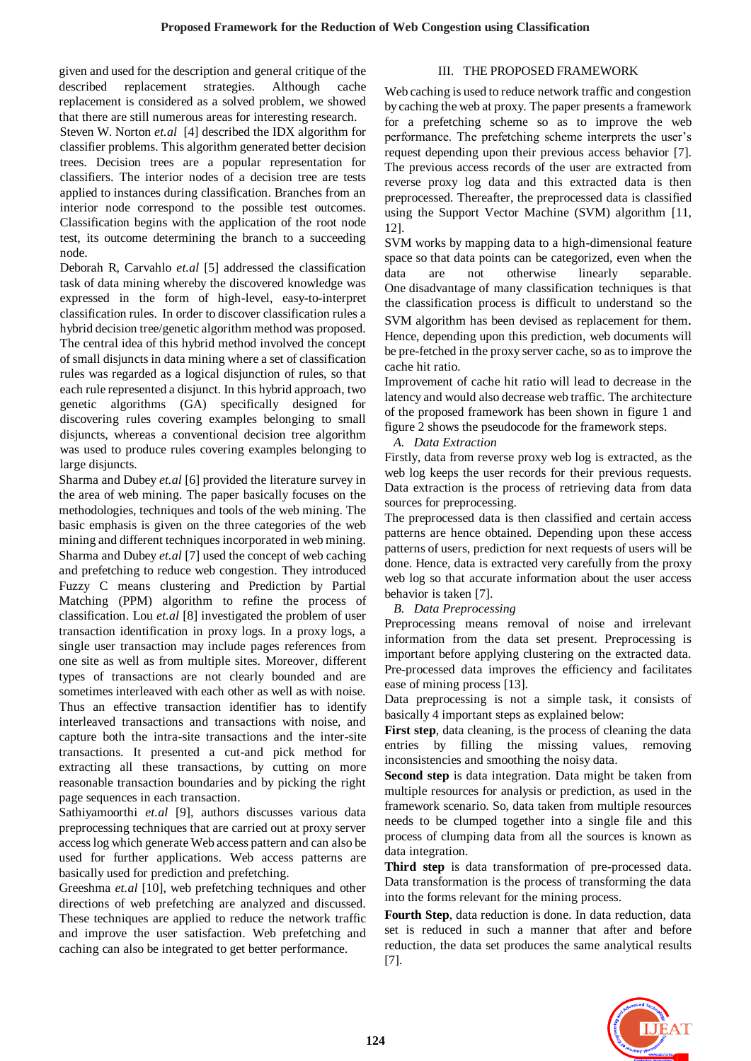given and used for the description and general critique of the described replacement strategies. Although cache replacement is considered as a solved problem, we showed that there are still numerous areas for interesting research.

Steven W. Norton *et.al* [4] described the IDX algorithm for classifier problems. This algorithm generated better decision trees. Decision trees are a popular representation for classifiers. The interior nodes of a decision tree are tests applied to instances during classification. Branches from an interior node correspond to the possible test outcomes. Classification begins with the application of the root node test, its outcome determining the branch to a succeeding node.

Deborah R, Carvahlo *et.al* [5] addressed the classification task of data mining whereby the discovered knowledge was expressed in the form of high-level, easy-to-interpret classification rules. In order to discover classification rules a hybrid decision tree/genetic algorithm method was proposed. The central idea of this hybrid method involved the concept of small disjuncts in data mining where a set of classification rules was regarded as a logical disjunction of rules, so that each rule represented a disjunct. In this hybrid approach, two genetic algorithms (GA) specifically designed for discovering rules covering examples belonging to small disjuncts, whereas a conventional decision tree algorithm was used to produce rules covering examples belonging to large disjuncts.

Sharma and Dubey *et.al* [6] provided the literature survey in the area of web mining. The paper basically focuses on the methodologies, techniques and tools of the web mining. The basic emphasis is given on the three categories of the web mining and different techniques incorporated in web mining. Sharma and Dubey *et.al* [7] used the concept of web caching and prefetching to reduce web congestion. They introduced Fuzzy C means clustering and Prediction by Partial Matching (PPM) algorithm to refine the process of classification. Lou *et.al* [8] investigated the problem of user transaction identification in proxy logs. In a proxy logs, a single user transaction may include pages references from one site as well as from multiple sites. Moreover, different types of transactions are not clearly bounded and are sometimes interleaved with each other as well as with noise. Thus an effective transaction identifier has to identify interleaved transactions and transactions with noise, and capture both the intra-site transactions and the inter-site transactions. It presented a cut-and pick method for extracting all these transactions, by cutting on more reasonable transaction boundaries and by picking the right page sequences in each transaction.

Sathiyamoorthi *et.al* [9], authors discusses various data preprocessing techniques that are carried out at proxy server access log which generate Web access pattern and can also be used for further applications. Web access patterns are basically used for prediction and prefetching.

Greeshma *et.al* [10], web prefetching techniques and other directions of web prefetching are analyzed and discussed. These techniques are applied to reduce the network traffic and improve the user satisfaction. Web prefetching and caching can also be integrated to get better performance.

# III. THE PROPOSED FRAMEWORK

Web caching is used to reduce network traffic and congestion by caching the web at proxy. The paper presents a framework for a prefetching scheme so as to improve the web performance. The prefetching scheme interprets the user's request depending upon their previous access behavior [7]. The previous access records of the user are extracted from reverse proxy log data and this extracted data is then preprocessed. Thereafter, the preprocessed data is classified using the Support Vector Machine (SVM) algorithm [11, 12].

SVM works by mapping data to a high-dimensional feature space so that data points can be categorized, even when the data are not otherwise linearly separable. One disadvantage of many classification techniques is that the classification process is difficult to understand so the SVM algorithm has been devised as replacement for them. Hence, depending upon this prediction, web documents will be pre-fetched in the proxy server cache, so as to improve the cache hit ratio.

Improvement of cache hit ratio will lead to decrease in the latency and would also decrease web traffic. The architecture of the proposed framework has been shown in figure 1 and figure 2 shows the pseudocode for the framework steps.

### *A. Data Extraction*

Firstly, data from reverse proxy web log is extracted, as the web log keeps the user records for their previous requests. Data extraction is the process of retrieving data from data sources for preprocessing.

The preprocessed data is then classified and certain access patterns are hence obtained. Depending upon these access patterns of users, prediction for next requests of users will be done. Hence, data is extracted very carefully from the proxy web log so that accurate information about the user access behavior is taken [7].

# *B. Data Preprocessing*

Preprocessing means removal of noise and irrelevant information from the data set present. Preprocessing is important before applying clustering on the extracted data. Pre-processed data improves the efficiency and facilitates ease of mining process [13].

Data preprocessing is not a simple task, it consists of basically 4 important steps as explained below:

**First step**, data cleaning, is the process of cleaning the data entries by filling the missing values, removing inconsistencies and smoothing the noisy data.

**Second step** is data integration. Data might be taken from multiple resources for analysis or prediction, as used in the framework scenario. So, data taken from multiple resources needs to be clumped together into a single file and this process of clumping data from all the sources is known as data integration.

**Third step** is data transformation of pre-processed data. Data transformation is the process of transforming the data into the forms relevant for the mining process.

**Fourth Step**, data reduction is done. In data reduction, data set is reduced in such a manner that after and before reduction, the data set produces the same analytical results [7].

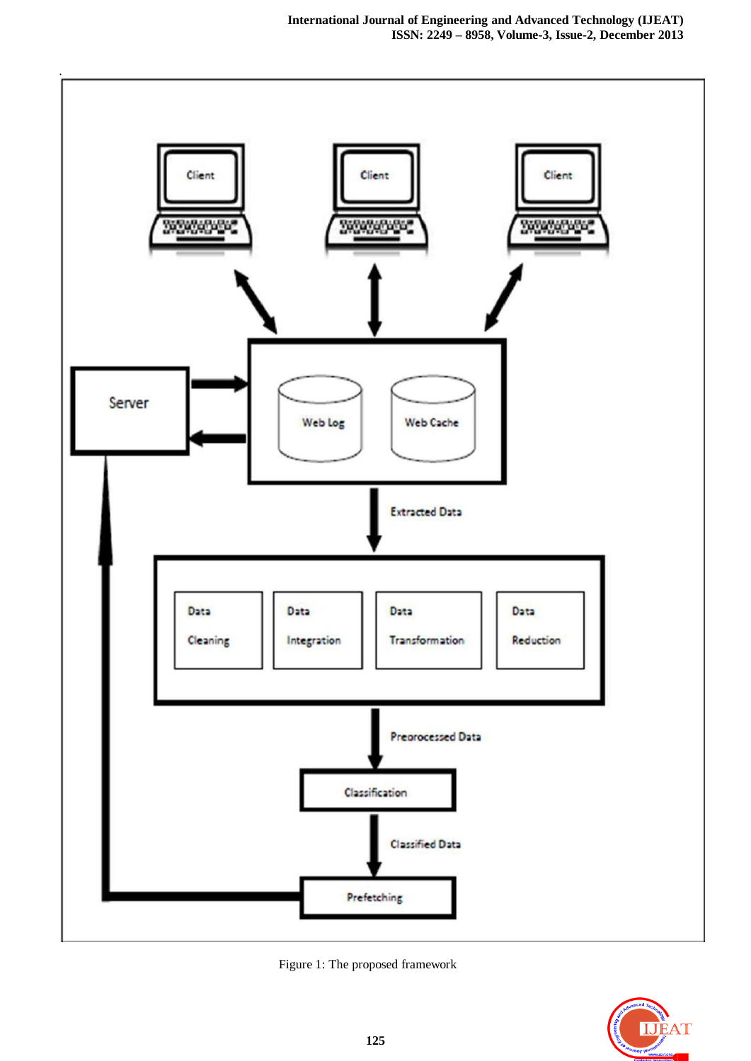

Figure 1: The proposed framework

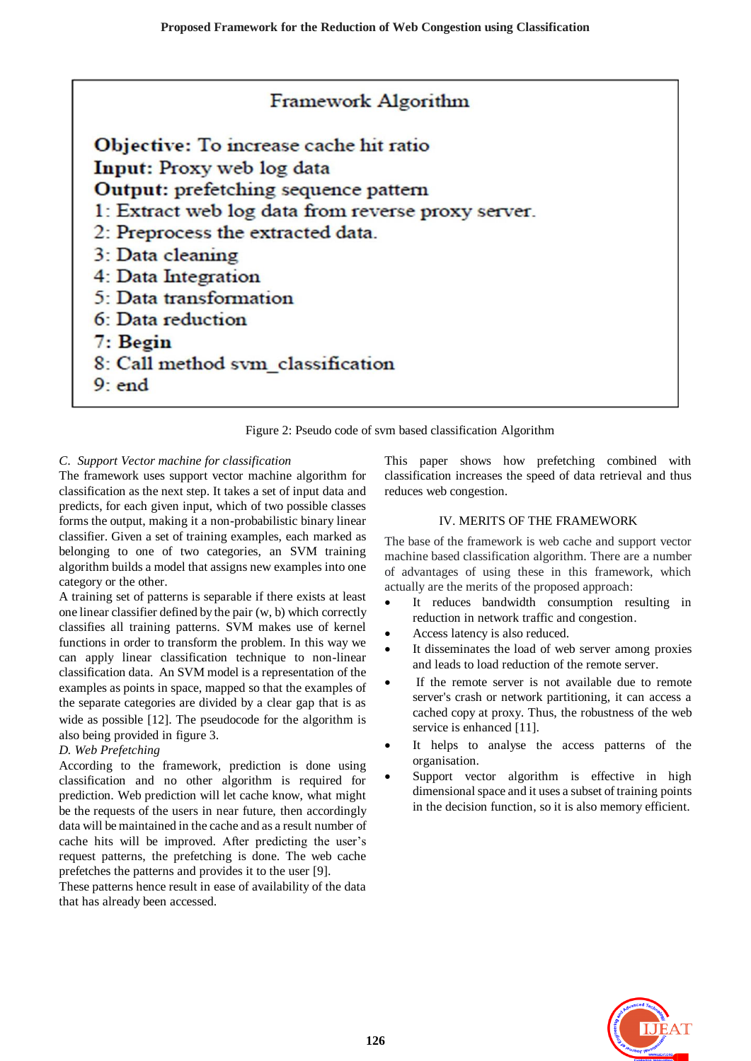# Framework Algorithm

Objective: To increase cache hit ratio Input: Proxy web log data **Output:** prefetching sequence pattern 1: Extract web log data from reverse proxy server. 2: Preprocess the extracted data. 3: Data cleaning 4: Data Integration 5: Data transformation 6: Data reduction 7: Begin 8: Call method svm\_classification  $9:$  end

Figure 2: Pseudo code of svm based classification Algorithm

# *C*. *Support Vector machine for classification*

The framework uses support vector machine algorithm for classification as the next step. It takes a set of input data and predicts, for each given input, which of two possible classes forms the output, making it a non[-probabilistic](http://en.wikipedia.org/wiki/Probabilistic_logic) [binary](http://en.wikipedia.org/wiki/Binary_classifier) [linear](http://en.wikipedia.org/wiki/Linear_classifier)  [classifier.](http://en.wikipedia.org/wiki/Linear_classifier) Given a set of training examples, each marked as belonging to one of two categories, an SVM training algorithm builds a model that assigns new examples into one category or the other.

A training set of patterns is separable if there exists at least one linear classifier defined by the pair (w, b) which correctly classifies all training patterns. SVM makes use of kernel functions in order to transform the problem. In this way we can apply linear classification technique to non-linear classification data. An SVM model is a representation of the examples as points in space, mapped so that the examples of the separate categories are divided by a clear gap that is as wide as possible [12]. The pseudocode for the algorithm is also being provided in figure 3.

# *D. Web Prefetching*

According to the framework, prediction is done using classification and no other algorithm is required for prediction. Web prediction will let cache know, what might be the requests of the users in near future, then accordingly data will be maintained in the cache and as a result number of cache hits will be improved. After predicting the user's request patterns, the prefetching is done. The web cache prefetches the patterns and provides it to the user [9].

These patterns hence result in ease of availability of the data that has already been accessed.

This paper shows how prefetching combined with classification increases the speed of data retrieval and thus reduces web congestion.

### IV. MERITS OF THE FRAMEWORK

The base of the framework is web cache and support vector machine based classification algorithm. There are a number of advantages of using these in this framework, which actually are the merits of the proposed approach:

- It reduces bandwidth consumption resulting in reduction in network traffic and congestion.
- Access latency is also reduced.
- It disseminates the load of web server among proxies and leads to load reduction of the remote server.
- If the remote server is not available due to remote server's crash or network partitioning, it can access a cached copy at proxy. Thus, the robustness of the web service is enhanced [11].
- It helps to analyse the access patterns of the organisation.
- Support vector algorithm is effective in high dimensional space and it uses a subset of training points in the decision function, so it is also memory efficient.

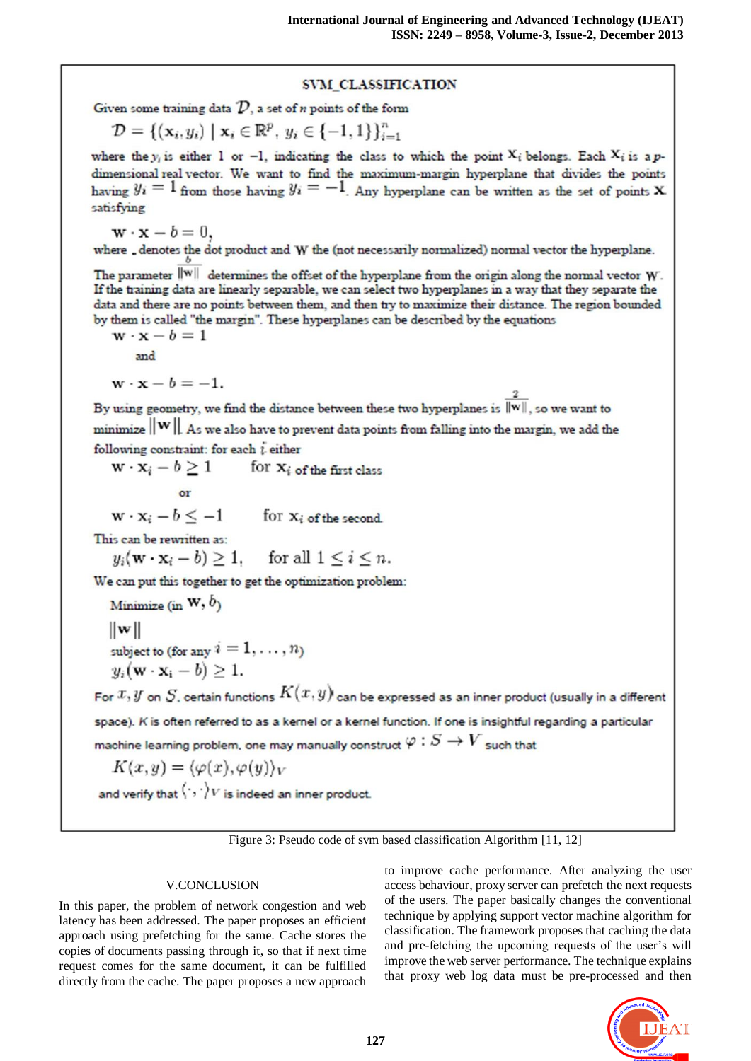# SVM CLASSIFICATION

Given some training data  $D$ , a set of *n* points of the form

$$
\mathcal{D} = \{ (\mathbf{x}_i, y_i) \mid \mathbf{x}_i \in \mathbb{R}^p, y_i \in \{-1, 1\} \}_{i=1}^n
$$

where the y<sub>i</sub> is either 1 or -1, indicating the class to which the point  $X_i$  belongs. Each  $X_i$  is a pdimensional real vector. We want to find the maximum-margin hyperplane that divides the points having  $y_i = 1$  from those having  $y_i = -1$ . Any hyperplane can be written as the set of points X. satisfying

 $\mathbf{w} \cdot \mathbf{x} - b = 0,$ where \_denotes the dot product and W the (not necessarily normalized) normal vector the hyperplane.

The parameter  $\|{\bf w}\|$  determines the offset of the hyperplane from the origin along the normal vector W. If the training data are linearly separable, we can select two hyperplanes in a way that they separate the data and there are no points between them, and then try to maximize their distance. The region bounded by them is called "the margin". These hyperplanes can be described by the equations

 $\mathbf{w} \cdot \mathbf{x} - b = 1$ and

 $\mathbf{w} \cdot \mathbf{x} - b = -1.$ 

By using geometry, we find the distance between these two hyperplanes is  $\frac{2}{\|\mathbf{w}\|}$ , so we want to  $\text{minimize}$   $\|\mathbf{W}\|$ . As we also have to prevent data points from falling into the margin, we add the following constraint: for each  $i$  either

 $\mathbf{w} \cdot \mathbf{x}_i - b \ge 1$  for  $\mathbf{x}_i$  of the first class  $or$ 

 $\mathbf{w} \cdot \mathbf{x}_i - b \le -1$  for  $\mathbf{x}_i$  of the second.

This can be rewritten as:

 $y_i(\mathbf{w} \cdot \mathbf{x}_i - b) \ge 1$ , for all  $1 \le i \le n$ .

We can put this together to get the optimization problem:

Minimize (in  $W$ ,  $b$ )

 $\|w\|$ 

subject to (for any  $i = 1, \ldots, n$ )

 $y_i(\mathbf{w} \cdot \mathbf{x_i} - b) \geq 1.$ 

For  $x, y$  on  $S$ , certain functions  $K(x, y)$  can be expressed as an inner product (usually in a different space). K is often referred to as a kernel or a kernel function. If one is insightful regarding a particular machine learning problem, one may manually construct  $\varphi: S \to V$  such that

$$
K(x,y) = \langle \varphi(x), \varphi(y) \rangle_V
$$

and verify that  $\langle \cdot, \cdot \rangle_V$  is indeed an inner product.

Figure 3: Pseudo code of svm based classification Algorithm [11, 12]

# **V.CONCLUSION**

In this paper, the problem of network congestion and web latency has been addressed. The paper proposes an efficient approach using prefetching for the same. Cache stores the copies of documents passing through it, so that if next time request comes for the same document, it can be fulfilled directly from the cache. The paper proposes a new approach to improve cache performance. After analyzing the user access behaviour, proxy server can prefetch the next requests of the users. The paper basically changes the conventional technique by applying support vector machine algorithm for classification. The framework proposes that caching the data and pre-fetching the upcoming requests of the user's will improve the web server performance. The technique explains that proxy web log data must be pre-processed and then